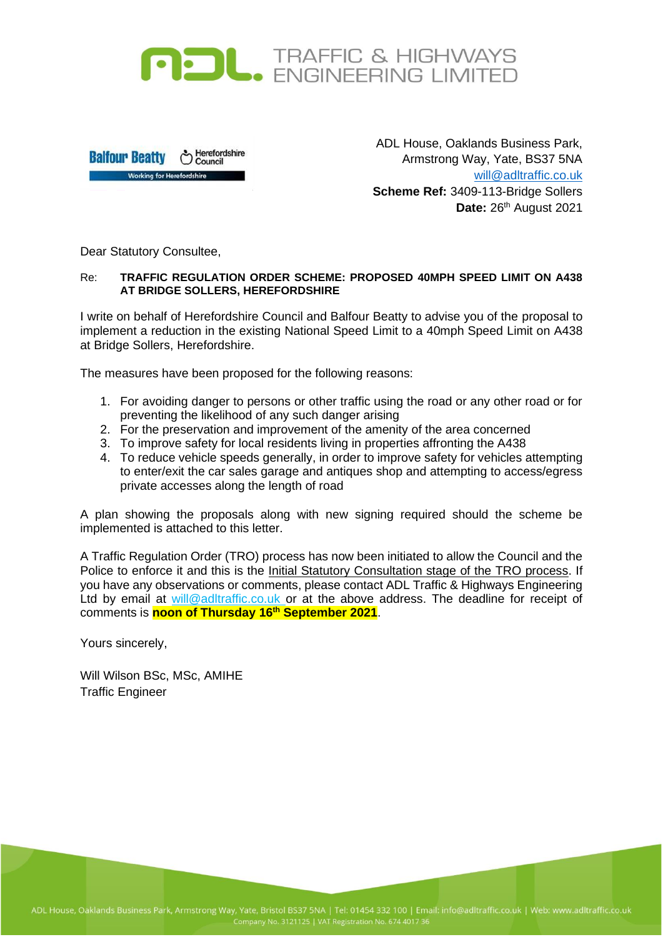



ADL House, Oaklands Business Park, Armstrong Way, Yate, BS37 5NA will@adltraffic.co.uk **Scheme Ref:** 3409-113-Bridge Sollers Date: 26<sup>th</sup> August 2021

Dear Statutory Consultee,

## Re: **TRAFFIC REGULATION ORDER SCHEME: PROPOSED 40MPH SPEED LIMIT ON A438 AT BRIDGE SOLLERS, HEREFORDSHIRE**

I write on behalf of Herefordshire Council and Balfour Beatty to advise you of the proposal to implement a reduction in the existing National Speed Limit to a 40mph Speed Limit on A438 at Bridge Sollers, Herefordshire.

The measures have been proposed for the following reasons:

- 1. For avoiding danger to persons or other traffic using the road or any other road or for preventing the likelihood of any such danger arising
- 2. For the preservation and improvement of the amenity of the area concerned
- 3. To improve safety for local residents living in properties affronting the A438
- 4. To reduce vehicle speeds generally, in order to improve safety for vehicles attempting to enter/exit the car sales garage and antiques shop and attempting to access/egress private accesses along the length of road

A plan showing the proposals along with new signing required should the scheme be implemented is attached to this letter.

A Traffic Regulation Order (TRO) process has now been initiated to allow the Council and the Police to enforce it and this is the Initial Statutory Consultation stage of the TRO process. If you have any observations or comments, please contact ADL Traffic & Highways Engineering Ltd by email at will@adltraffic.co.uk or at the above address. The deadline for receipt of comments is **noon of Thursday 16 th September 2021**.

Yours sincerely,

Will Wilson BSc, MSc, AMIHE Traffic Engineer